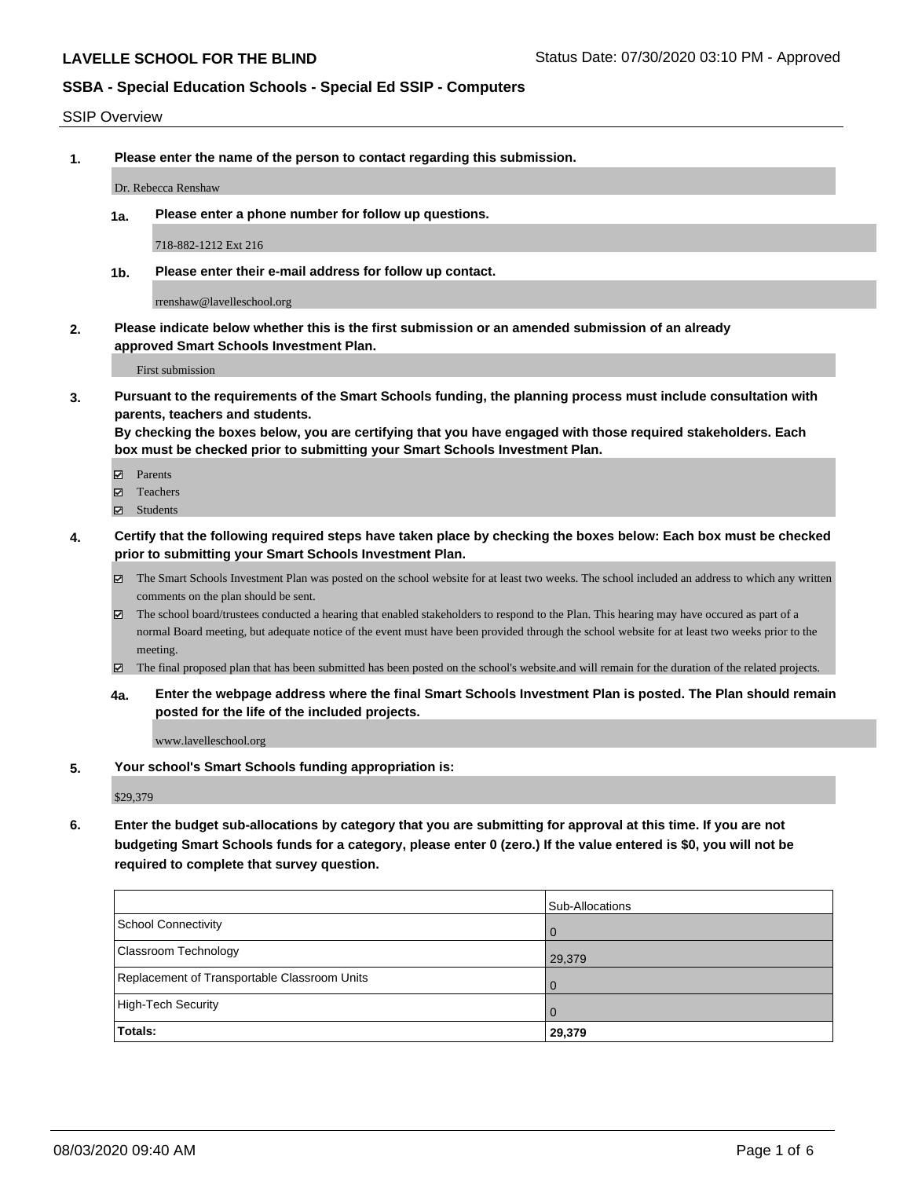#### SSIP Overview

**1. Please enter the name of the person to contact regarding this submission.**

Dr. Rebecca Renshaw

**1a. Please enter a phone number for follow up questions.**

718-882-1212 Ext 216

**1b. Please enter their e-mail address for follow up contact.**

rrenshaw@lavelleschool.org

**2. Please indicate below whether this is the first submission or an amended submission of an already approved Smart Schools Investment Plan.**

First submission

**3. Pursuant to the requirements of the Smart Schools funding, the planning process must include consultation with parents, teachers and students.**

**By checking the boxes below, you are certifying that you have engaged with those required stakeholders. Each box must be checked prior to submitting your Smart Schools Investment Plan.**

- Parents
- Teachers
- Students
- **4. Certify that the following required steps have taken place by checking the boxes below: Each box must be checked prior to submitting your Smart Schools Investment Plan.**
	- The Smart Schools Investment Plan was posted on the school website for at least two weeks. The school included an address to which any written comments on the plan should be sent.
	- The school board/trustees conducted a hearing that enabled stakeholders to respond to the Plan. This hearing may have occured as part of a normal Board meeting, but adequate notice of the event must have been provided through the school website for at least two weeks prior to the meeting.
	- The final proposed plan that has been submitted has been posted on the school's website.and will remain for the duration of the related projects.
	- **4a. Enter the webpage address where the final Smart Schools Investment Plan is posted. The Plan should remain posted for the life of the included projects.**

www.lavelleschool.org

**5. Your school's Smart Schools funding appropriation is:**

\$29,379

**6. Enter the budget sub-allocations by category that you are submitting for approval at this time. If you are not budgeting Smart Schools funds for a category, please enter 0 (zero.) If the value entered is \$0, you will not be required to complete that survey question.**

| Totals:                                      | 29,379          |
|----------------------------------------------|-----------------|
| High-Tech Security                           | 1 O             |
| Replacement of Transportable Classroom Units | $\overline{0}$  |
| Classroom Technology                         | 29,379          |
| School Connectivity                          | <b>O</b>        |
|                                              | Sub-Allocations |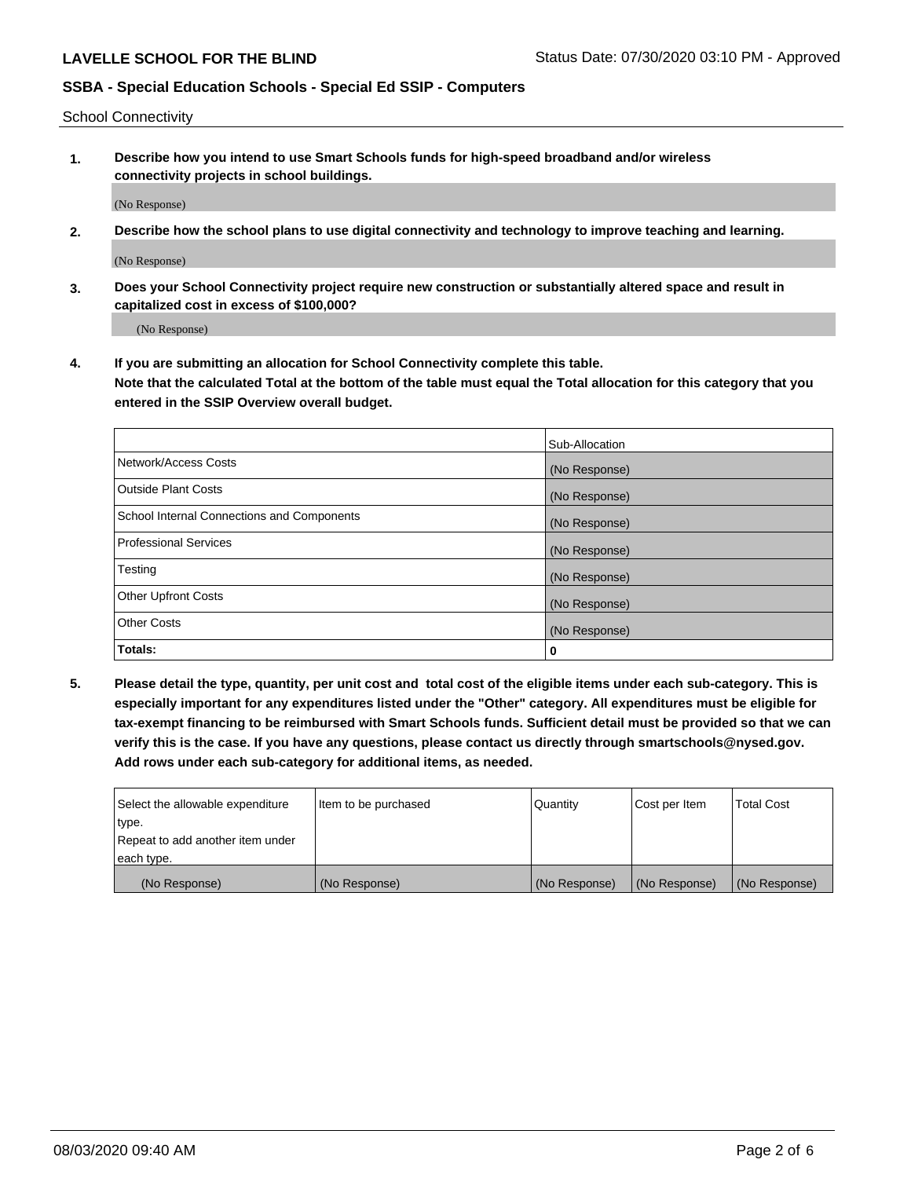School Connectivity

**1. Describe how you intend to use Smart Schools funds for high-speed broadband and/or wireless connectivity projects in school buildings.**

(No Response)

**2. Describe how the school plans to use digital connectivity and technology to improve teaching and learning.**

(No Response)

**3. Does your School Connectivity project require new construction or substantially altered space and result in capitalized cost in excess of \$100,000?**

(No Response)

**4. If you are submitting an allocation for School Connectivity complete this table. Note that the calculated Total at the bottom of the table must equal the Total allocation for this category that you entered in the SSIP Overview overall budget.** 

|                                            | Sub-Allocation |
|--------------------------------------------|----------------|
| Network/Access Costs                       | (No Response)  |
| Outside Plant Costs                        | (No Response)  |
| School Internal Connections and Components | (No Response)  |
| <b>Professional Services</b>               | (No Response)  |
| Testing                                    | (No Response)  |
| Other Upfront Costs                        | (No Response)  |
| <b>Other Costs</b>                         | (No Response)  |
| Totals:                                    | 0              |

**5. Please detail the type, quantity, per unit cost and total cost of the eligible items under each sub-category. This is especially important for any expenditures listed under the "Other" category. All expenditures must be eligible for tax-exempt financing to be reimbursed with Smart Schools funds. Sufficient detail must be provided so that we can verify this is the case. If you have any questions, please contact us directly through smartschools@nysed.gov. Add rows under each sub-category for additional items, as needed.**

| each type.<br>(No Response)      | (No Response)          | (No Response) | (No Response) | (No Response)     |
|----------------------------------|------------------------|---------------|---------------|-------------------|
|                                  |                        |               |               |                   |
| Repeat to add another item under |                        |               |               |                   |
| ∣type.                           |                        |               |               |                   |
| Select the allowable expenditure | I Item to be purchased | Quantity      | Cost per Item | <b>Total Cost</b> |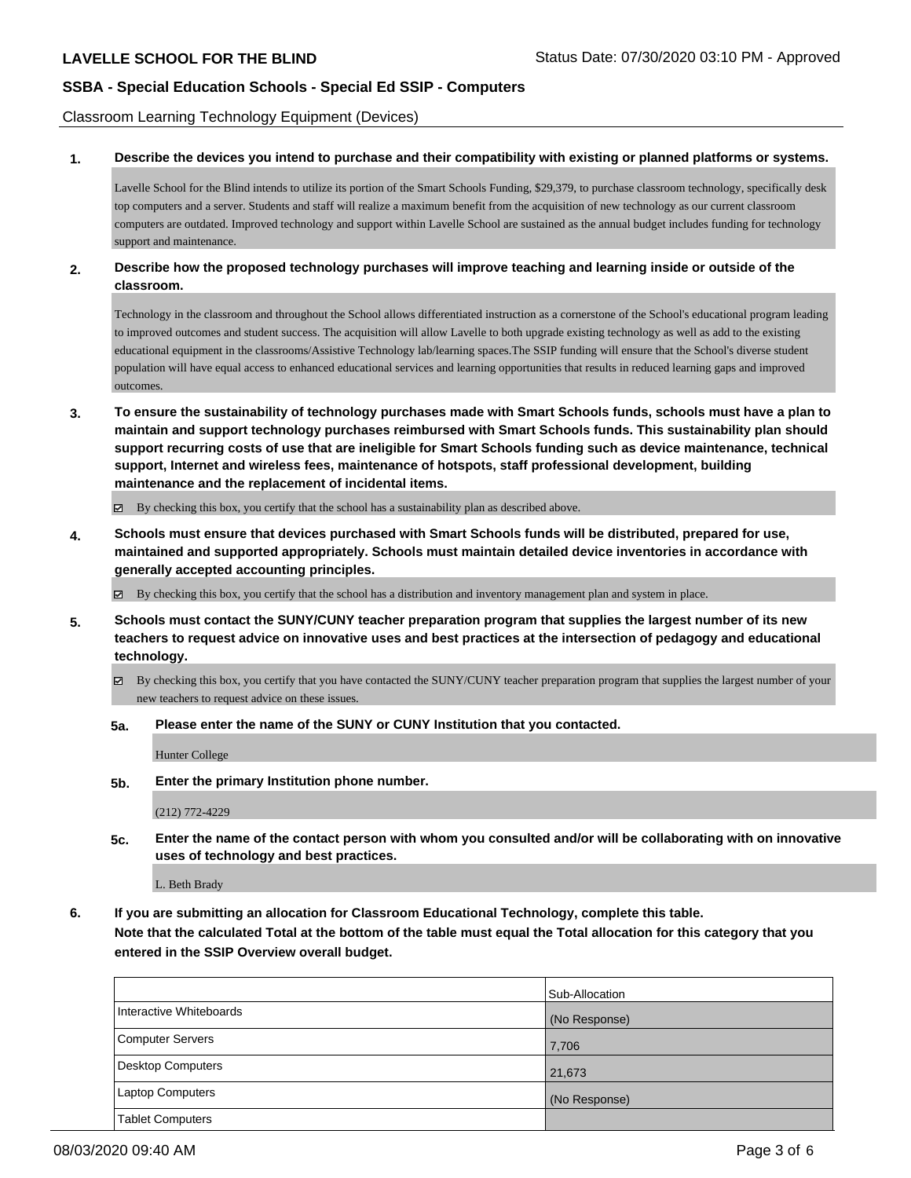Classroom Learning Technology Equipment (Devices)

#### **1. Describe the devices you intend to purchase and their compatibility with existing or planned platforms or systems.**

Lavelle School for the Blind intends to utilize its portion of the Smart Schools Funding, \$29,379, to purchase classroom technology, specifically desk top computers and a server. Students and staff will realize a maximum benefit from the acquisition of new technology as our current classroom computers are outdated. Improved technology and support within Lavelle School are sustained as the annual budget includes funding for technology support and maintenance.

### **2. Describe how the proposed technology purchases will improve teaching and learning inside or outside of the classroom.**

Technology in the classroom and throughout the School allows differentiated instruction as a cornerstone of the School's educational program leading to improved outcomes and student success. The acquisition will allow Lavelle to both upgrade existing technology as well as add to the existing educational equipment in the classrooms/Assistive Technology lab/learning spaces.The SSIP funding will ensure that the School's diverse student population will have equal access to enhanced educational services and learning opportunities that results in reduced learning gaps and improved outcomes

**3. To ensure the sustainability of technology purchases made with Smart Schools funds, schools must have a plan to maintain and support technology purchases reimbursed with Smart Schools funds. This sustainability plan should support recurring costs of use that are ineligible for Smart Schools funding such as device maintenance, technical support, Internet and wireless fees, maintenance of hotspots, staff professional development, building maintenance and the replacement of incidental items.**

By checking this box, you certify that the school has a sustainability plan as described above.

**4. Schools must ensure that devices purchased with Smart Schools funds will be distributed, prepared for use, maintained and supported appropriately. Schools must maintain detailed device inventories in accordance with generally accepted accounting principles.**

By checking this box, you certify that the school has a distribution and inventory management plan and system in place.

- **5. Schools must contact the SUNY/CUNY teacher preparation program that supplies the largest number of its new teachers to request advice on innovative uses and best practices at the intersection of pedagogy and educational technology.**
	- By checking this box, you certify that you have contacted the SUNY/CUNY teacher preparation program that supplies the largest number of your new teachers to request advice on these issues.
	- **5a. Please enter the name of the SUNY or CUNY Institution that you contacted.**

Hunter College

**5b. Enter the primary Institution phone number.**

(212) 772-4229

**5c. Enter the name of the contact person with whom you consulted and/or will be collaborating with on innovative uses of technology and best practices.**

L. Beth Brady

**6. If you are submitting an allocation for Classroom Educational Technology, complete this table. Note that the calculated Total at the bottom of the table must equal the Total allocation for this category that you entered in the SSIP Overview overall budget.**

|                         | Sub-Allocation |
|-------------------------|----------------|
| Interactive Whiteboards | (No Response)  |
| Computer Servers        | 7,706          |
| Desktop Computers       | 21,673         |
| Laptop Computers        | (No Response)  |
| <b>Tablet Computers</b> |                |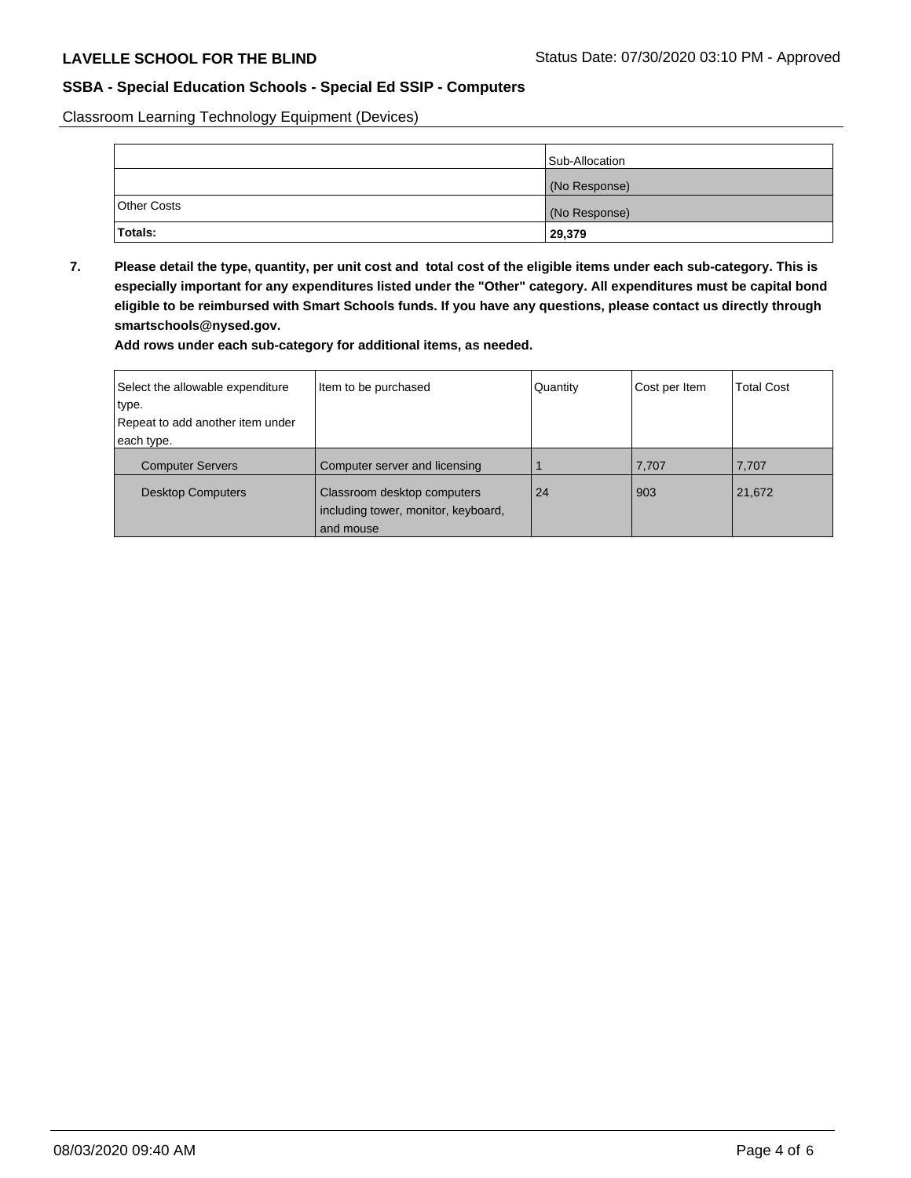Classroom Learning Technology Equipment (Devices)

|                    | Sub-Allocation |
|--------------------|----------------|
|                    | (No Response)  |
| <b>Other Costs</b> | (No Response)  |
| <b>Totals:</b>     | 29,379         |

**7. Please detail the type, quantity, per unit cost and total cost of the eligible items under each sub-category. This is especially important for any expenditures listed under the "Other" category. All expenditures must be capital bond eligible to be reimbursed with Smart Schools funds. If you have any questions, please contact us directly through smartschools@nysed.gov.**

**Add rows under each sub-category for additional items, as needed.**

| Select the allowable expenditure | Item to be purchased                                                            | Quantity | Cost per Item | <b>Total Cost</b> |
|----------------------------------|---------------------------------------------------------------------------------|----------|---------------|-------------------|
| type.                            |                                                                                 |          |               |                   |
| Repeat to add another item under |                                                                                 |          |               |                   |
| each type.                       |                                                                                 |          |               |                   |
| <b>Computer Servers</b>          | Computer server and licensing                                                   |          | 7,707         | 7,707             |
| <b>Desktop Computers</b>         | Classroom desktop computers<br>including tower, monitor, keyboard,<br>and mouse | 24       | 903           | 21,672            |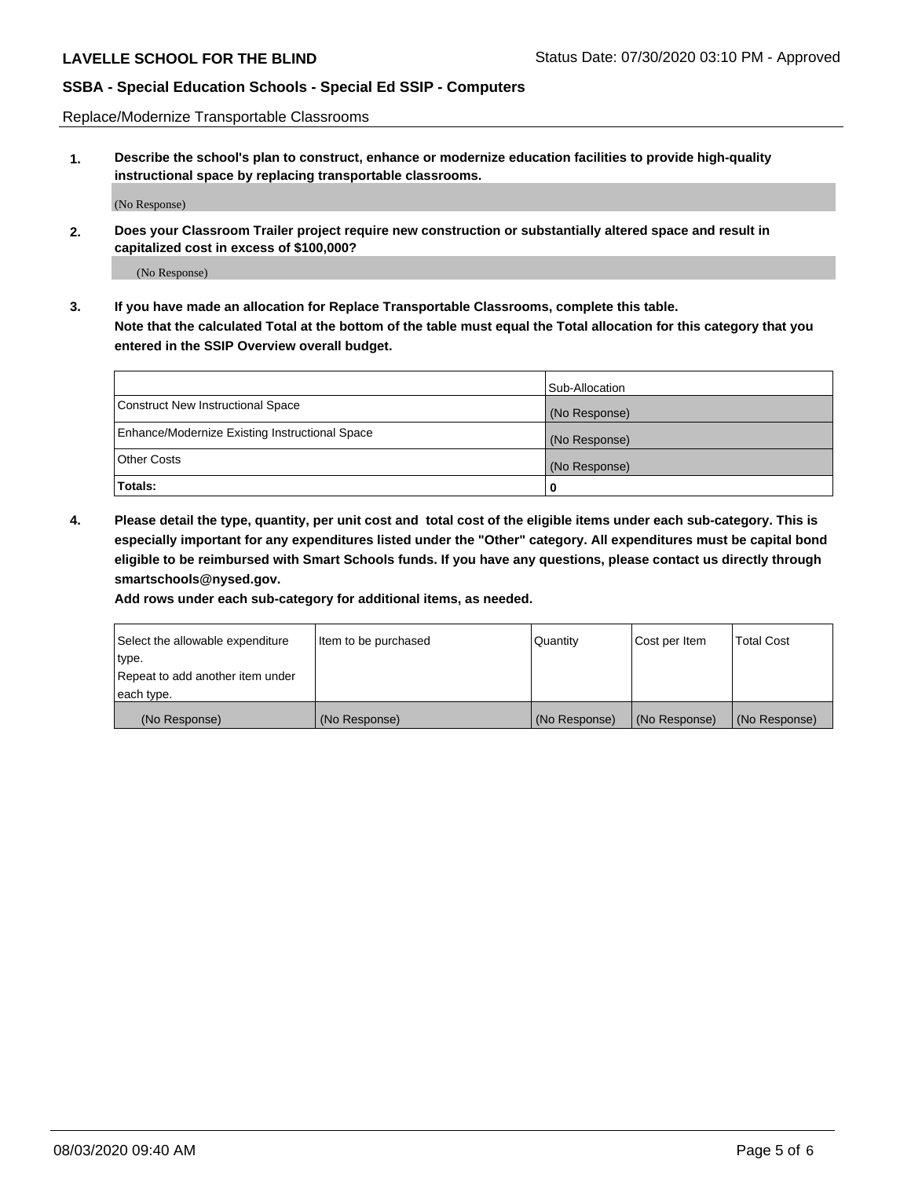Replace/Modernize Transportable Classrooms

**1. Describe the school's plan to construct, enhance or modernize education facilities to provide high-quality instructional space by replacing transportable classrooms.**

(No Response)

**2. Does your Classroom Trailer project require new construction or substantially altered space and result in capitalized cost in excess of \$100,000?**

(No Response)

**3. If you have made an allocation for Replace Transportable Classrooms, complete this table. Note that the calculated Total at the bottom of the table must equal the Total allocation for this category that you entered in the SSIP Overview overall budget.**

|                                                | Sub-Allocation |
|------------------------------------------------|----------------|
| Construct New Instructional Space              | (No Response)  |
| Enhance/Modernize Existing Instructional Space | (No Response)  |
| Other Costs                                    | (No Response)  |
| Totals:                                        | 0              |

**4. Please detail the type, quantity, per unit cost and total cost of the eligible items under each sub-category. This is especially important for any expenditures listed under the "Other" category. All expenditures must be capital bond eligible to be reimbursed with Smart Schools funds. If you have any questions, please contact us directly through smartschools@nysed.gov.**

**Add rows under each sub-category for additional items, as needed.**

| Select the allowable expenditure | Item to be purchased | Quantity      | Cost per Item | <b>Total Cost</b> |
|----------------------------------|----------------------|---------------|---------------|-------------------|
| 'type.                           |                      |               |               |                   |
| Repeat to add another item under |                      |               |               |                   |
| each type.                       |                      |               |               |                   |
| (No Response)                    | (No Response)        | (No Response) | (No Response) | (No Response)     |